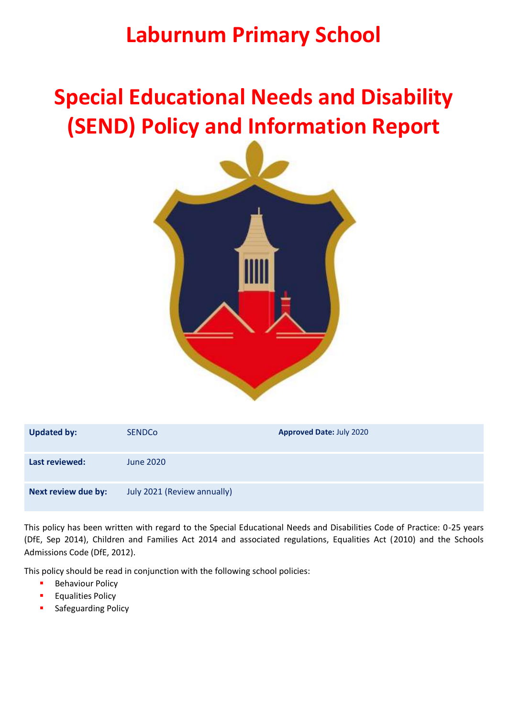## **Laburnum Primary School**

# **Special Educational Needs and Disability (SEND) Policy and Information Report**



| <b>Updated by:</b>  | <b>SENDCo</b>               | <b>Approved Date: July 2020</b> |
|---------------------|-----------------------------|---------------------------------|
| Last reviewed:      | June 2020                   |                                 |
| Next review due by: | July 2021 (Review annually) |                                 |

This policy has been written with regard to the Special Educational Needs and Disabilities Code of Practice: 0-25 years (DfE, Sep 2014), Children and Families Act 2014 and associated regulations, Equalities Act (2010) and the Schools Admissions Code (DfE, 2012).

This policy should be read in conjunction with the following school policies:

- **Behaviour Policy**
- **Equalities Policy**
- Safeguarding Policy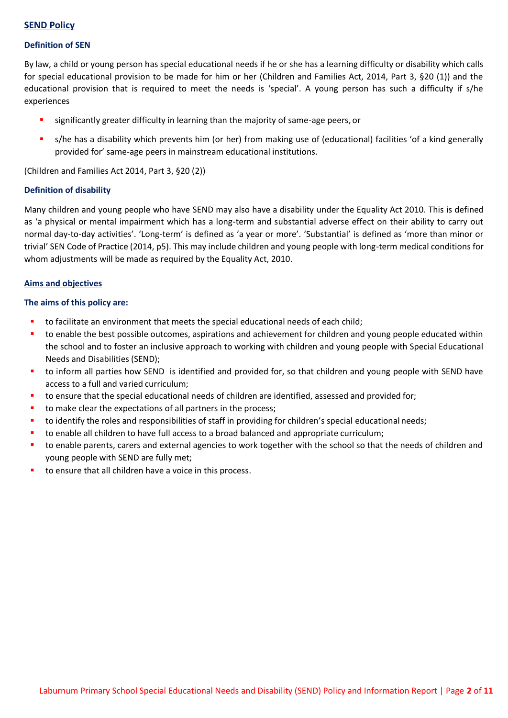## **SEND Policy**

## **Definition of SEN**

By law, a child or young person has special educational needs if he or she has a learning difficulty or disability which calls for special educational provision to be made for him or her (Children and Families Act, 2014, Part 3, §20 (1)) and the educational provision that is required to meet the needs is 'special'. A young person has such a difficulty if s/he experiences

- significantly greater difficulty in learning than the majority of same-age peers, or
- s/he has a disability which prevents him (or her) from making use of (educational) facilities 'of a kind generally provided for' same-age peers in mainstream educational institutions.

(Children and Families Act 2014, Part 3, §20 (2))

## **Definition of disability**

Many children and young people who have SEND may also have a disability under the Equality Act 2010. This is defined as 'a physical or mental impairment which has a long-term and substantial adverse effect on their ability to carry out normal day-to-day activities'. 'Long-term' is defined as 'a year or more'. 'Substantial' is defined as 'more than minor or trivial' SEN Code of Practice (2014, p5). This may include children and young people with long-term medical conditions for whom adjustments will be made as required by the Equality Act, 2010.

## **Aims and objectives**

## **The aims of this policy are:**

- **that** to facilitate an environment that meets the special educational needs of each child;
- to enable the best possible outcomes, aspirations and achievement for children and young people educated within the school and to foster an inclusive approach to working with children and young people with Special Educational Needs and Disabilities (SEND);
- to inform all parties how SEND is identified and provided for, so that children and young people with SEND have access to a full and varied curriculum;
- to ensure that the special educational needs of children are identified, assessed and provided for;
- to make clear the expectations of all partners in the process;
- to identify the roles and responsibilities of staff in providing for children's special educational needs;
- to enable all children to have full access to a broad balanced and appropriate curriculum;
- to enable parents, carers and external agencies to work together with the school so that the needs of children and young people with SEND are fully met;
- to ensure that all children have a voice in this process.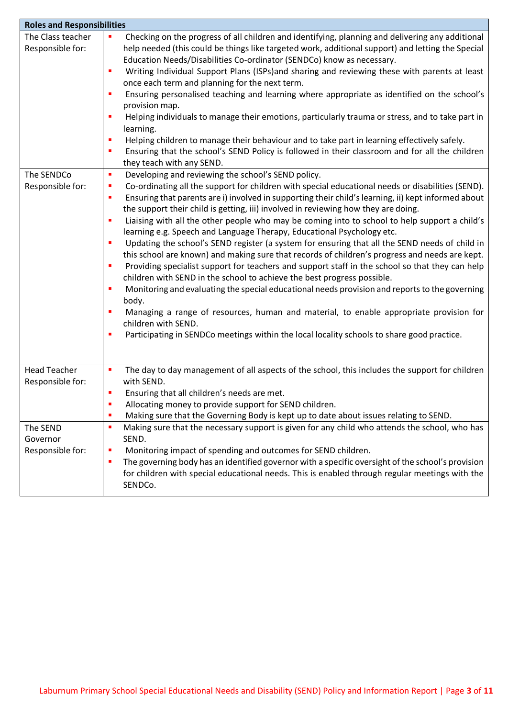| <b>Roles and Responsibilities</b>        |                                                                                                                                                                                                                                                                                                                                                                                                                                                                                                                                                                                                                                                                                                                                                                                                                                                                                                                                                                                                                                                                                                                                                                                                                                                                                     |  |  |  |  |
|------------------------------------------|-------------------------------------------------------------------------------------------------------------------------------------------------------------------------------------------------------------------------------------------------------------------------------------------------------------------------------------------------------------------------------------------------------------------------------------------------------------------------------------------------------------------------------------------------------------------------------------------------------------------------------------------------------------------------------------------------------------------------------------------------------------------------------------------------------------------------------------------------------------------------------------------------------------------------------------------------------------------------------------------------------------------------------------------------------------------------------------------------------------------------------------------------------------------------------------------------------------------------------------------------------------------------------------|--|--|--|--|
| The Class teacher<br>Responsible for:    | Checking on the progress of all children and identifying, planning and delivering any additional<br>п<br>help needed (this could be things like targeted work, additional support) and letting the Special<br>Education Needs/Disabilities Co-ordinator (SENDCo) know as necessary.<br>Writing Individual Support Plans (ISPs)and sharing and reviewing these with parents at least<br>п<br>once each term and planning for the next term.<br>Ensuring personalised teaching and learning where appropriate as identified on the school's<br>٠<br>provision map.<br>Helping individuals to manage their emotions, particularly trauma or stress, and to take part in<br>learning.<br>Helping children to manage their behaviour and to take part in learning effectively safely.<br>п<br>Ensuring that the school's SEND Policy is followed in their classroom and for all the children<br>٠<br>they teach with any SEND.                                                                                                                                                                                                                                                                                                                                                           |  |  |  |  |
| The SENDCo<br>Responsible for:           | Developing and reviewing the school's SEND policy.<br>٠<br>Co-ordinating all the support for children with special educational needs or disabilities (SEND).<br>п<br>Ensuring that parents are i) involved in supporting their child's learning, ii) kept informed about<br>п<br>the support their child is getting, iii) involved in reviewing how they are doing.<br>Liaising with all the other people who may be coming into to school to help support a child's<br>п<br>learning e.g. Speech and Language Therapy, Educational Psychology etc.<br>Updating the school's SEND register (a system for ensuring that all the SEND needs of child in<br>п<br>this school are known) and making sure that records of children's progress and needs are kept.<br>Providing specialist support for teachers and support staff in the school so that they can help<br>п<br>children with SEND in the school to achieve the best progress possible.<br>Monitoring and evaluating the special educational needs provision and reports to the governing<br>п<br>body.<br>Managing a range of resources, human and material, to enable appropriate provision for<br>children with SEND.<br>Participating in SENDCo meetings within the local locality schools to share good practice.<br>٠ |  |  |  |  |
| <b>Head Teacher</b><br>Responsible for:  | The day to day management of all aspects of the school, this includes the support for children<br>п<br>with SEND.<br>Ensuring that all children's needs are met.<br>٠<br>Allocating money to provide support for SEND children.<br>Making sure that the Governing Body is kept up to date about issues relating to SEND.<br>٠                                                                                                                                                                                                                                                                                                                                                                                                                                                                                                                                                                                                                                                                                                                                                                                                                                                                                                                                                       |  |  |  |  |
| The SEND<br>Governor<br>Responsible for: | Making sure that the necessary support is given for any child who attends the school, who has<br>п<br>SEND.<br>Monitoring impact of spending and outcomes for SEND children.<br>п<br>The governing body has an identified governor with a specific oversight of the school's provision<br>п<br>for children with special educational needs. This is enabled through regular meetings with the<br>SENDCo.                                                                                                                                                                                                                                                                                                                                                                                                                                                                                                                                                                                                                                                                                                                                                                                                                                                                            |  |  |  |  |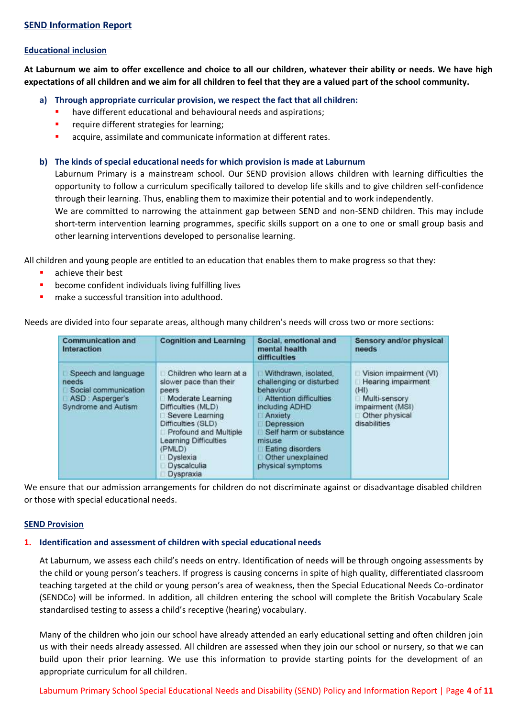#### **Educational inclusion**

**At Laburnum we aim to offer excellence and choice to all our children, whatever their ability or needs. We have high expectations of all children and we aim for all children to feel that they are a valued part of the school community.**

**a) Through appropriate curricular provision, we respect the fact that all children:**

- have different educational and behavioural needs and aspirations;
- require different strategies for learning;
- acquire, assimilate and communicate information at different rates.

#### **b) The kinds of special educational needs for which provision is made at Laburnum**

Laburnum Primary is a mainstream school. Our SEND provision allows children with learning difficulties the opportunity to follow a curriculum specifically tailored to develop life skills and to give children self-confidence through their learning. Thus, enabling them to maximize their potential and to work independently.

We are committed to narrowing the attainment gap between SEND and non-SEND children. This may include short-term intervention learning programmes, specific skills support on a one to one or small group basis and other learning interventions developed to personalise learning.

All children and young people are entitled to an education that enables them to make progress so that they:

- achieve their best
- **•** become confident individuals living fulfilling lives
- make a successful transition into adulthood.

Needs are divided into four separate areas, although many children's needs will cross two or more sections:

| <b>Communication and</b><br>Interaction                                                        | <b>Cognition and Learning</b>                                                                                                                                                                                                                      | Social, emotional and<br>mental health<br>difficulties                                                                                                                                                                               | Sensory and/or physical<br>needs                                                                                            |
|------------------------------------------------------------------------------------------------|----------------------------------------------------------------------------------------------------------------------------------------------------------------------------------------------------------------------------------------------------|--------------------------------------------------------------------------------------------------------------------------------------------------------------------------------------------------------------------------------------|-----------------------------------------------------------------------------------------------------------------------------|
| Speech and language<br>needs<br>Social communication<br>ASD: Asperger's<br>Syndrome and Autism | Children who learn at a<br>slower pace than their<br>peers<br>Moderate Learning<br>Difficulties (MLD)<br>Severe Learning<br>Difficulties (SLD)<br>Profound and Multiple<br>Learning Difficulties<br>(PMLD)<br>Dyslexia<br>Dyscalculia<br>Dyspraxia | Withdrawn, isolated,<br>challenging or disturbed<br>behaviour<br>Attention difficulties<br>including ADHD<br>Anxiety<br>Depression<br>Self harm or substance<br>misuse<br>Eating disorders<br>Other unexplained<br>physical symptoms | Vision impairment (VI)<br>Hearing impairment<br>(HI)<br>Multi-sensory<br>impairment (MSI)<br>Other physical<br>disabilities |

We ensure that our admission arrangements for children do not discriminate against or disadvantage disabled children or those with special educational needs.

#### **SEND Provision**

#### **1. Identification and assessment of children with special educational needs**

At Laburnum, we assess each child's needs on entry. Identification of needs will be through ongoing assessments by the child or young person's teachers. If progress is causing concerns in spite of high quality, differentiated classroom teaching targeted at the child or young person's area of weakness, then the Special Educational Needs Co-ordinator (SENDCo) will be informed. In addition, all children entering the school will complete the British Vocabulary Scale standardised testing to assess a child's receptive (hearing) vocabulary.

Many of the children who join our school have already attended an early educational setting and often children join us with their needs already assessed. All children are assessed when they join our school or nursery, so that we can build upon their prior learning. We use this information to provide starting points for the development of an appropriate curriculum for all children.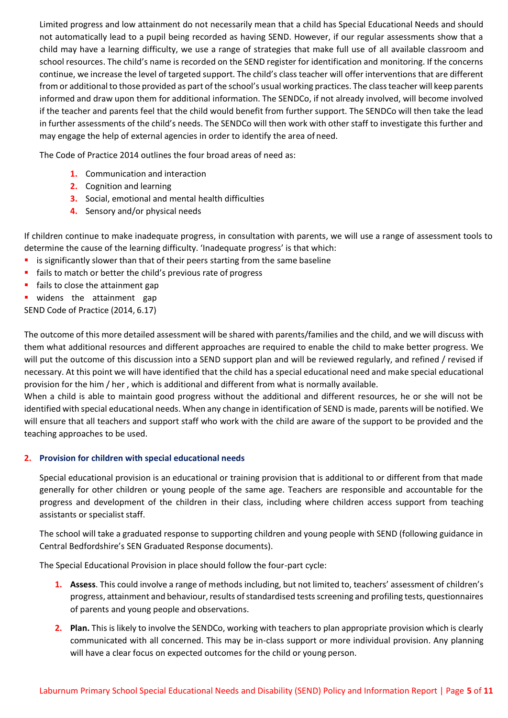Limited progress and low attainment do not necessarily mean that a child has Special Educational Needs and should not automatically lead to a pupil being recorded as having SEND. However, if our regular assessments show that a child may have a learning difficulty, we use a range of strategies that make full use of all available classroom and school resources. The child's name is recorded on the SEND register for identification and monitoring. If the concerns continue, we increase the level of targeted support. The child's class teacher will offer interventions that are different from or additional to those provided as part of the school's usual working practices. The class teacher will keep parents informed and draw upon them for additional information. The SENDCo, if not already involved, will become involved if the teacher and parents feel that the child would benefit from further support. The SENDCo will then take the lead in further assessments of the child's needs. The SENDCo will then work with other staff to investigate this further and may engage the help of external agencies in order to identify the area of need.

The Code of Practice 2014 outlines the four broad areas of need as:

- **1.** Communication and interaction
- **2.** Cognition and learning
- **3.** Social, emotional and mental health difficulties
- **4.** Sensory and/or physical needs

If children continue to make inadequate progress, in consultation with parents, we will use a range of assessment tools to determine the cause of the learning difficulty. 'Inadequate progress' is that which:

- **EXTED SHEADER IS SET IS SET IT SET IS SET IT SET IS SET IT IS SET IT IS SET IT IS SET IT SET IS SET IT SET IS SET IT SET IS SET IS SET IS SET IS SET IS SET IS SET IS SET IS SET IS SET IS SET IS SET IS SET IS SET IS SET IS**
- **fails to match or better the child's previous rate of progress**
- **fails to close the attainment gap**
- **widens** the attainment gap

SEND Code of Practice (2014, 6.17)

The outcome of this more detailed assessment will be shared with parents/families and the child, and we will discuss with them what additional resources and different approaches are required to enable the child to make better progress. We will put the outcome of this discussion into a SEND support plan and will be reviewed regularly, and refined / revised if necessary. At this point we will have identified that the child has a special educational need and make special educational provision for the him / her , which is additional and different from what is normally available.

When a child is able to maintain good progress without the additional and different resources, he or she will not be identified with special educational needs. When any change in identification of SEND is made, parents will be notified. We will ensure that all teachers and support staff who work with the child are aware of the support to be provided and the teaching approaches to be used.

## **2. Provision for children with special educational needs**

Special educational provision is an educational or training provision that is additional to or different from that made generally for other children or young people of the same age. Teachers are responsible and accountable for the progress and development of the children in their class, including where children access support from teaching assistants or specialist staff.

The school will take a graduated response to supporting children and young people with SEND (following guidance in Central Bedfordshire's SEN Graduated Response documents).

The Special Educational Provision in place should follow the four-part cycle:

- **1. Assess**. This could involve a range of methods including, but not limited to, teachers' assessment of children's progress, attainment and behaviour, results of standardised tests screening and profiling tests, questionnaires of parents and young people and observations.
- **2. Plan.** This is likely to involve the SENDCo, working with teachers to plan appropriate provision which is clearly communicated with all concerned. This may be in-class support or more individual provision. Any planning will have a clear focus on expected outcomes for the child or young person.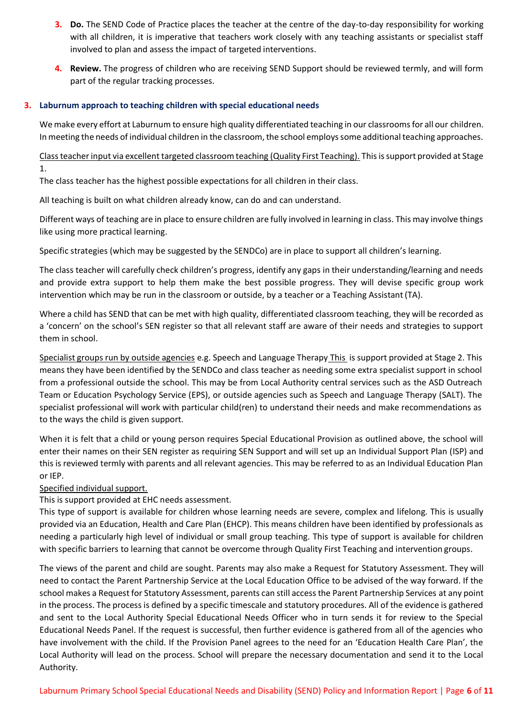- **3. Do.** The SEND Code of Practice places the teacher at the centre of the day-to-day responsibility for working with all children, it is imperative that teachers work closely with any teaching assistants or specialist staff involved to plan and assess the impact of targeted interventions.
- **4. Review.** The progress of children who are receiving SEND Support should be reviewed termly, and will form part of the regular tracking processes.

## **3. Laburnum approach to teaching children with special educational needs**

We make every effort at Laburnum to ensure high quality differentiated teaching in our classrooms for all our children. In meeting the needs of individual children in the classroom, the school employs some additional teaching approaches.

Class teacher input via excellent targeted classroom teaching (Quality First Teaching). This is support provided at Stage 1.

The class teacher has the highest possible expectations for all children in their class.

All teaching is built on what children already know, can do and can understand.

Different ways of teaching are in place to ensure children are fully involved in learning in class. This may involve things like using more practical learning.

Specific strategies (which may be suggested by the SENDCo) are in place to support all children's learning.

The class teacher will carefully check children's progress, identify any gaps in their understanding/learning and needs and provide extra support to help them make the best possible progress. They will devise specific group work intervention which may be run in the classroom or outside, by a teacher or a Teaching Assistant(TA).

Where a child has SEND that can be met with high quality, differentiated classroom teaching, they will be recorded as a 'concern' on the school's SEN register so that all relevant staff are aware of their needs and strategies to support them in school.

Specialist groups run by outside agencies e.g. Speech and Language Therapy This is support provided at Stage 2. This means they have been identified by the SENDCo and class teacher as needing some extra specialist support in school from a professional outside the school. This may be from Local Authority central services such as the ASD Outreach Team or Education Psychology Service (EPS), or outside agencies such as Speech and Language Therapy (SALT). The specialist professional will work with particular child(ren) to understand their needs and make recommendations as to the ways the child is given support.

When it is felt that a child or young person requires Special Educational Provision as outlined above, the school will enter their names on their SEN register as requiring SEN Support and will set up an Individual Support Plan (ISP) and this is reviewed termly with parents and all relevant agencies. This may be referred to as an Individual Education Plan or IEP.

Specified individual support.

This is support provided at EHC needs assessment.

This type of support is available for children whose learning needs are severe, complex and lifelong. This is usually provided via an Education, Health and Care Plan (EHCP). This means children have been identified by professionals as needing a particularly high level of individual or small group teaching. This type of support is available for children with specific barriers to learning that cannot be overcome through Quality First Teaching and intervention groups.

The views of the parent and child are sought. Parents may also make a Request for Statutory Assessment. They will need to contact the Parent Partnership Service at the Local Education Office to be advised of the way forward. If the school makes a Request for Statutory Assessment, parents can still access the Parent Partnership Services at any point in the process. The process is defined by a specific timescale and statutory procedures. All of the evidence is gathered and sent to the Local Authority Special Educational Needs Officer who in turn sends it for review to the Special Educational Needs Panel. If the request is successful, then further evidence is gathered from all of the agencies who have involvement with the child. If the Provision Panel agrees to the need for an 'Education Health Care Plan', the Local Authority will lead on the process. School will prepare the necessary documentation and send it to the Local Authority.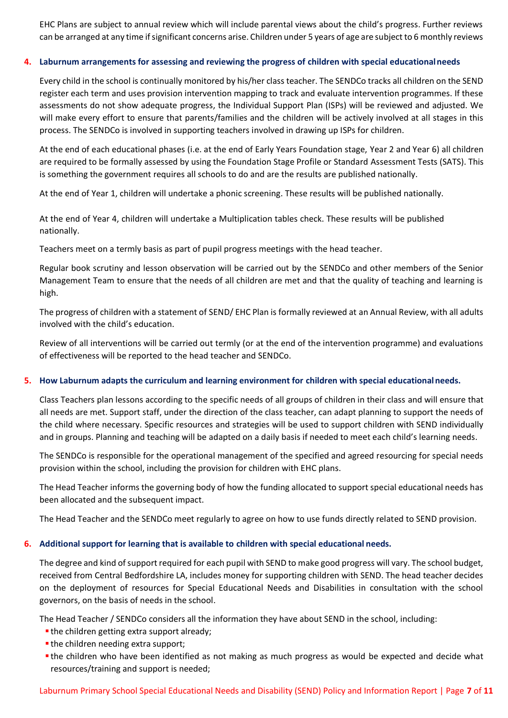EHC Plans are subject to annual review which will include parental views about the child's progress. Further reviews can be arranged at any time if significant concerns arise. Children under 5 years of age are subject to 6 monthly reviews

## **4. Laburnum arrangements for assessing and reviewing the progress of children with special educationalneeds**

Every child in the school is continually monitored by his/her class teacher. The SENDCo tracks all children on the SEND register each term and uses provision intervention mapping to track and evaluate intervention programmes. If these assessments do not show adequate progress, the Individual Support Plan (ISPs) will be reviewed and adjusted. We will make every effort to ensure that parents/families and the children will be actively involved at all stages in this process. The SENDCo is involved in supporting teachers involved in drawing up ISPs for children.

At the end of each educational phases (i.e. at the end of Early Years Foundation stage, Year 2 and Year 6) all children are required to be formally assessed by using the Foundation Stage Profile or Standard Assessment Tests (SATS). This is something the government requires all schools to do and are the results are published nationally.

At the end of Year 1, children will undertake a phonic screening. These results will be published nationally.

At the end of Year 4, children will undertake a Multiplication tables check. These results will be published nationally.

Teachers meet on a termly basis as part of pupil progress meetings with the head teacher.

Regular book scrutiny and lesson observation will be carried out by the SENDCo and other members of the Senior Management Team to ensure that the needs of all children are met and that the quality of teaching and learning is high.

The progress of children with a statement of SEND/ EHC Plan is formally reviewed at an Annual Review, with all adults involved with the child's education.

Review of all interventions will be carried out termly (or at the end of the intervention programme) and evaluations of effectiveness will be reported to the head teacher and SENDCo.

## **5. How Laburnum adapts the curriculum and learning environment for children with special educationalneeds.**

Class Teachers plan lessons according to the specific needs of all groups of children in their class and will ensure that all needs are met. Support staff, under the direction of the class teacher, can adapt planning to support the needs of the child where necessary. Specific resources and strategies will be used to support children with SEND individually and in groups. Planning and teaching will be adapted on a daily basis if needed to meet each child's learning needs.

The SENDCo is responsible for the operational management of the specified and agreed resourcing for special needs provision within the school, including the provision for children with EHC plans.

The Head Teacher informs the governing body of how the funding allocated to support special educational needs has been allocated and the subsequent impact.

The Head Teacher and the SENDCo meet regularly to agree on how to use funds directly related to SEND provision.

## **6. Additional support for learning that is available to children with special educational needs.**

The degree and kind of support required for each pupil with SEND to make good progress will vary. The school budget, received from Central Bedfordshire LA, includes money for supporting children with SEND. The head teacher decides on the deployment of resources for Special Educational Needs and Disabilities in consultation with the school governors, on the basis of needs in the school.

The Head Teacher / SENDCo considers all the information they have about SEND in the school, including:

- the children getting extra support already;
- the children needing extra support;
- the children who have been identified as not making as much progress as would be expected and decide what resources/training and support is needed;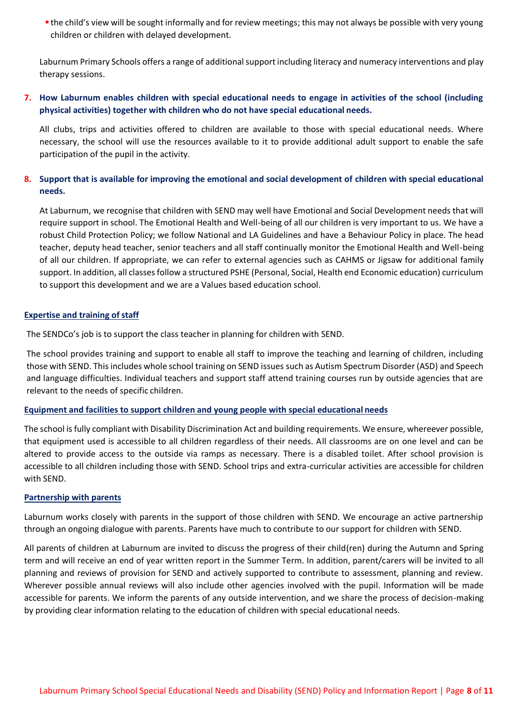**the child's view will be sought informally and for review meetings; this may not always be possible with very young** children or children with delayed development.

Laburnum Primary Schools offers a range of additional support including literacy and numeracy interventions and play therapy sessions.

## **7. How Laburnum enables children with special educational needs to engage in activities of the school (including physical activities) together with children who do not have special educational needs.**

All clubs, trips and activities offered to children are available to those with special educational needs. Where necessary, the school will use the resources available to it to provide additional adult support to enable the safe participation of the pupil in the activity.

## **8. Support that is available for improving the emotional and social development of children with special educational needs.**

At Laburnum, we recognise that children with SEND may well have Emotional and Social Development needs that will require support in school. The Emotional Health and Well-being of all our children is very important to us. We have a robust Child Protection Policy; we follow National and LA Guidelines and have a Behaviour Policy in place. The head teacher, deputy head teacher, senior teachers and all staff continually monitor the Emotional Health and Well-being of all our children. If appropriate, we can refer to external agencies such as CAHMS or Jigsaw for additional family support. In addition, all classes follow a structured PSHE (Personal, Social, Health end Economic education) curriculum to support this development and we are a Values based education school.

## **Expertise and training of staff**

The SENDCo's job is to support the class teacher in planning for children with SEND.

The school provides training and support to enable all staff to improve the teaching and learning of children, including those with SEND. This includes whole school training on SEND issues such as Autism Spectrum Disorder (ASD) and Speech and language difficulties. Individual teachers and support staff attend training courses run by outside agencies that are relevant to the needs of specific children.

## **Equipment and facilities to support children and young people with special educational needs**

The school is fully compliant with Disability Discrimination Act and building requirements. We ensure, whereever possible, that equipment used is accessible to all children regardless of their needs. All classrooms are on one level and can be altered to provide access to the outside via ramps as necessary. There is a disabled toilet. After school provision is accessible to all children including those with SEND. School trips and extra-curricular activities are accessible for children with SEND.

## **Partnership with parents**

Laburnum works closely with parents in the support of those children with SEND. We encourage an active partnership through an ongoing dialogue with parents. Parents have much to contribute to our support for children with SEND.

All parents of children at Laburnum are invited to discuss the progress of their child(ren) during the Autumn and Spring term and will receive an end of year written report in the Summer Term. In addition, parent/carers will be invited to all planning and reviews of provision for SEND and actively supported to contribute to assessment, planning and review. Wherever possible annual reviews will also include other agencies involved with the pupil. Information will be made accessible for parents. We inform the parents of any outside intervention, and we share the process of decision-making by providing clear information relating to the education of children with special educational needs.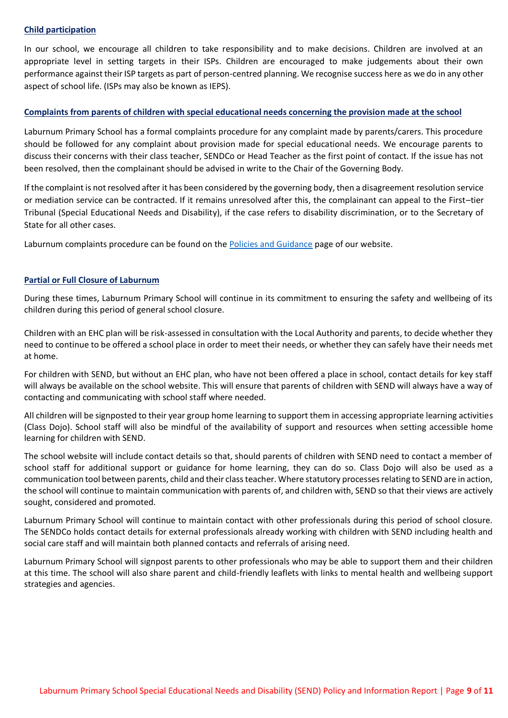### **Child participation**

In our school, we encourage all children to take responsibility and to make decisions. Children are involved at an appropriate level in setting targets in their ISPs. Children are encouraged to make judgements about their own performance against their ISP targets as part of person-centred planning. We recognise success here as we do in any other aspect of school life. (ISPs may also be known as IEPS).

## **Complaints from parents of children with special educational needs concerning the provision made at the school**

Laburnum Primary School has a formal complaints procedure for any complaint made by parents/carers. This procedure should be followed for any complaint about provision made for special educational needs. We encourage parents to discuss their concerns with their class teacher, SENDCo or Head Teacher as the first point of contact. If the issue has not been resolved, then the complainant should be advised in write to the Chair of the Governing Body.

If the complaint is not resolved after it has been considered by the governing body, then a disagreement resolution service or mediation service can be contracted. If it remains unresolved after this, the complainant can appeal to the First–tier Tribunal (Special Educational Needs and Disability), if the case refers to disability discrimination, or to the Secretary of State for all other cases.

Laburnum complaints procedure can be found on the [Policies and Guidance](https://www.laburnumlower.co.uk/policies) page of our website.

#### **Partial or Full Closure of Laburnum**

During these times, Laburnum Primary School will continue in its commitment to ensuring the safety and wellbeing of its children during this period of general school closure.

Children with an EHC plan will be risk-assessed in consultation with the Local Authority and parents, to decide whether they need to continue to be offered a school place in order to meet their needs, or whether they can safely have their needs met at home.

For children with SEND, but without an EHC plan, who have not been offered a place in school, contact details for key staff will always be available on the school website. This will ensure that parents of children with SEND will always have a way of contacting and communicating with school staff where needed.

All children will be signposted to their year group home learning to support them in accessing appropriate learning activities (Class Dojo). School staff will also be mindful of the availability of support and resources when setting accessible home learning for children with SEND.

The school website will include contact details so that, should parents of children with SEND need to contact a member of school staff for additional support or guidance for home learning, they can do so. Class Dojo will also be used as a communication tool between parents, child and their class teacher. Where statutory processes relating to SEND are in action, the school will continue to maintain communication with parents of, and children with, SEND so that their views are actively sought, considered and promoted.

Laburnum Primary School will continue to maintain contact with other professionals during this period of school closure. The SENDCo holds contact details for external professionals already working with children with SEND including health and social care staff and will maintain both planned contacts and referrals of arising need.

Laburnum Primary School will signpost parents to other professionals who may be able to support them and their children at this time. The school will also share parent and child-friendly leaflets with links to mental health and wellbeing support strategies and agencies.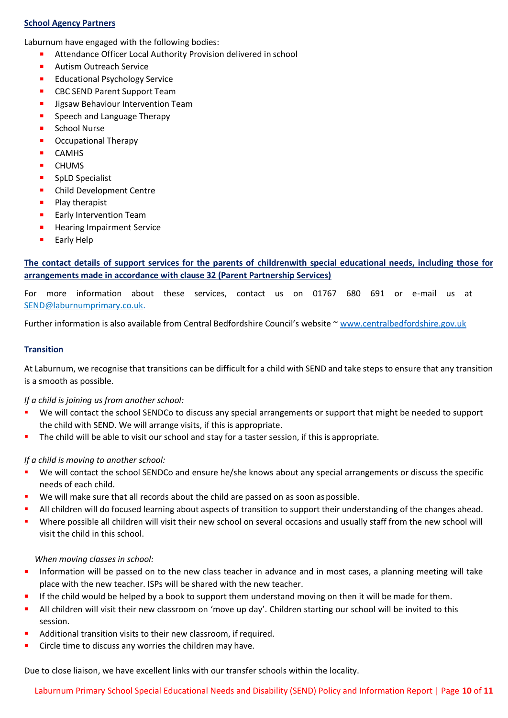## **School Agency Partners**

Laburnum have engaged with the following bodies:

- **EXECUTE:** Attendance Officer Local Authority Provision delivered in school
- **Autism Outreach Service**
- **Educational Psychology Service**
- **CBC SEND Parent Support Team**
- **Jigsaw Behaviour Intervention Team**
- **Speech and Language Therapy**
- School Nurse
- **•** Occupational Therapy
- **CAMHS**
- **CHUMS**
- **SpLD** Specialist
- **•** Child Development Centre
- $\blacksquare$  Play therapist
- **Early Intervention Team**
- **Hearing Impairment Service**
- **Early Help**

**The contact details of support services for the parents of childrenwith special educational needs, including those for arrangements made in accordance with clause 32 (Parent Partnership Services)**

For more information about these services, contact us on 01767 680 691 or e-mail us at [SEND@laburnumprimary.co.uk.](mailto:SEND@laburnumprimary.co.uk)

Further information is also available from Central Bedfordshire Council's website ~ [www.centralbedfordshire.gov.uk](http://www.centralbedfordshire.gov.uk/)

## **Transition**

At Laburnum, we recognise that transitions can be difficult for a child with SEND and take steps to ensure that any transition is a smooth as possible.

## *If a child is joining us from another school:*

- We will contact the school SENDCo to discuss any special arrangements or support that might be needed to support the child with SEND. We will arrange visits, if this is appropriate.
- The child will be able to visit our school and stay for a taster session, if this is appropriate.

## *If a child is moving to another school:*

- We will contact the school SENDCo and ensure he/she knows about any special arrangements or discuss the specific needs of each child.
- We will make sure that all records about the child are passed on as soon as possible.
- All children will do focused learning about aspects of transition to support their understanding of the changes ahead.
- Where possible all children will visit their new school on several occasions and usually staff from the new school will visit the child in this school.

## *When moving classes in school:*

- Information will be passed on to the new class teacher in advance and in most cases, a planning meeting will take place with the new teacher. ISPs will be shared with the new teacher.
- If the child would be helped by a book to support them understand moving on then it will be made forthem.
- All children will visit their new classroom on 'move up day'. Children starting our school will be invited to this session.
- Additional transition visits to their new classroom, if required.
- **EXECT** Circle time to discuss any worries the children may have.

Due to close liaison, we have excellent links with our transfer schools within the locality.

Laburnum Primary School Special Educational Needs and Disability (SEND) Policy and Information Report | Page **10** of **11**